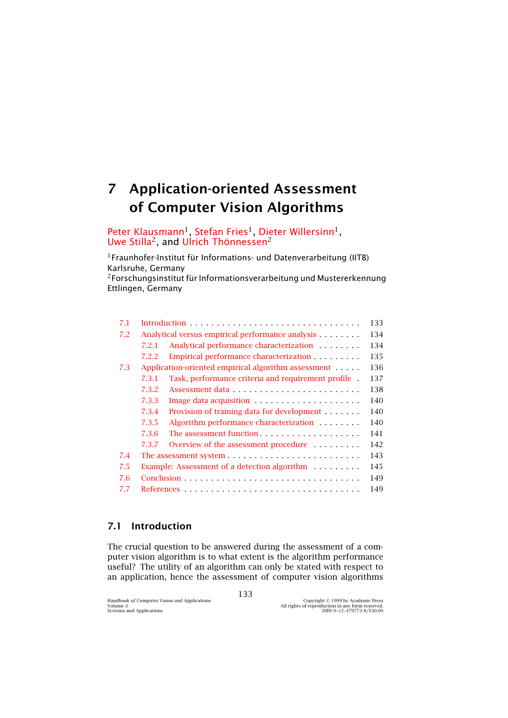# **7 Application-oriented Assessment of Computer Vision Algorithms**

Peter Klausmann<sup>1</sup>, Stefan Fries<sup>1</sup>, Dieter Willersinn<sup>1</sup>, Uwe Stilla<sup>2</sup>, and Ulrich Thönnessen<sup>2</sup>

<sup>1</sup>Fraunhofer-Institut für Informations- und Datenverarbeitung (IITB) Karlsruhe, Germany

<sup>2</sup>Forschungsinstitut für Informationsverarbeitung und Mustererkennung Ettlingen, Germany

| 7.1 |                                                     |                                                        | 133 |
|-----|-----------------------------------------------------|--------------------------------------------------------|-----|
| 7.2 | Analytical versus empirical performance analysis    |                                                        | 134 |
|     | 7.2.1                                               | Analytical performance characterization                | 134 |
|     | 7.2.2                                               | Empirical performance characterization                 | 135 |
| 7.3 | Application-oriented empirical algorithm assessment |                                                        | 136 |
|     | 7.3.1                                               | Task, performance criteria and requirement profile     | 137 |
|     | 7.3.2                                               |                                                        | 138 |
|     | 7.3.3                                               |                                                        | 140 |
|     | 7.3.4                                               | Provision of training data for development             | 140 |
|     | 7.3.5                                               | Algorithm performance characterization <b>Exercise</b> | 140 |
|     | 7.3.6                                               |                                                        | 141 |
|     | 7.3.7                                               | Overview of the assessment procedure                   | 142 |
| 7.4 |                                                     |                                                        | 143 |
| 7.5 | Example: Assessment of a detection algorithm        |                                                        | 145 |
| 7.6 |                                                     |                                                        | 149 |
| 7.7 |                                                     |                                                        | 149 |

# **7.1 Introduction**

The crucial question to be answered during the assessment of a computer vision algorithm is to what extent is the algorithm performance useful? The utility of an algorithm can only be stated with respect to an application, hence the assessment of computer vision algorithms

133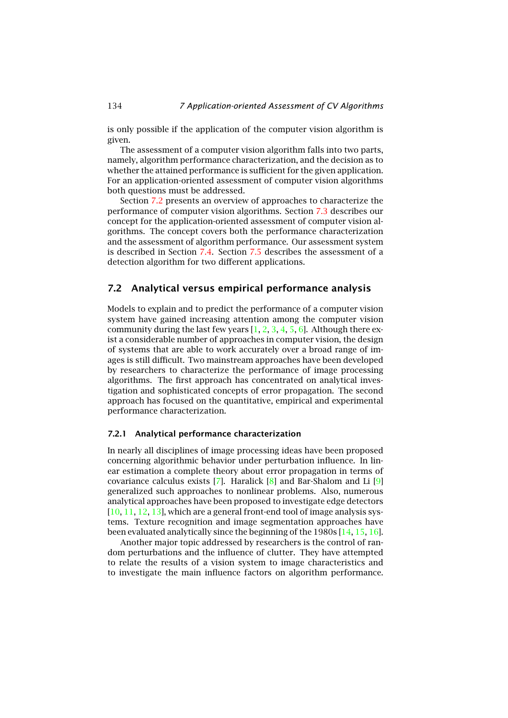is only possible if the application of the computer vision algorithm is given.

The assessment of a computer vision algorithm falls into two parts, namely, algorithm performance characterization, and the decision as to whether the attained performance is sufficient for the given application. For an application-oriented assessment of computer vision algorithms both questions must be addressed.

Section 7.2 presents an overview of approaches to characterize the performance of computer vision algorithms. Section 7.3 describes our concept for the application-oriented assessment of computer vision algorithms. The concept covers both the performance characterization and the assessment of algorithm performance. Our assessment system is described in Section 7.4. Section 7.5 describes the assessment of a detection algorithm for two different applications.

## **7.2 Analytical versus empirical performance analysis**

Models to explain and to predict the performance of a computer vision system have gained increasing attention among the computer vision community during the last few years  $[1, 2, 3, 4, 5, 6]$ . Although there exist a considerable number of approaches in computer vision, the design of systems that are able to work accurately over a broad range of images is still difficult. Two mainstream approaches have been developed by researchers to characterize the performance of image processing algorithms. The first approach has concentrated on analytical investigation and sophisticated concepts of error propagation. The second approach has focused on the quantitative, empirical and experimental performance characterization.

## **7.2.1 Analytical performance characterization**

In nearly all disciplines of image processing ideas have been proposed concerning algorithmic behavior under perturbation influence. In linear estimation a complete theory about error propagation in terms of covariance calculus exists [7]. Haralick [8] and Bar-Shalom and Li [9] generalized such approaches to nonlinear problems. Also, numerous analytical approaches have been proposed to investigate edge detectors [10, 11, 12, 13], which are a general front-end tool of image analysis systems. Texture recognition and image segmentation approaches have been evaluated analytically since the beginning of the 1980s [14, 15, 16].

Another major topic addressed by researchers is the control of random perturbations and the influence of clutter. They have attempted to relate the results of a vision system to image characteristics and to investigate the main influence factors on algorithm performance.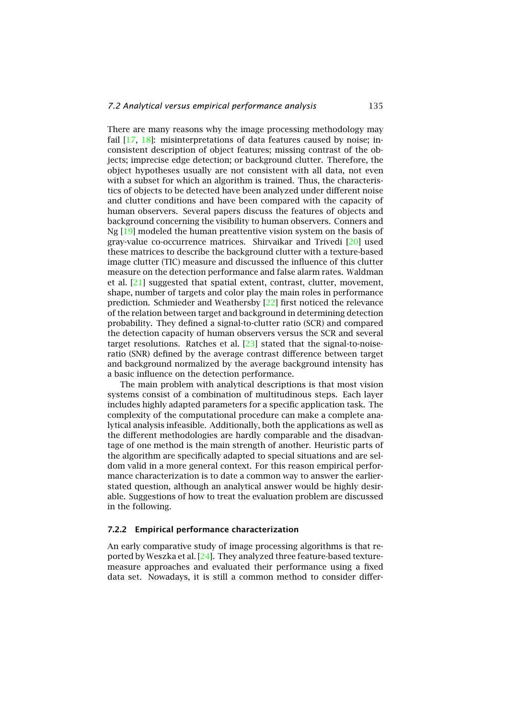There are many reasons why the image processing methodology may fail [17, 18]: misinterpretations of data features caused by noise; inconsistent description of object features; missing contrast of the objects; imprecise edge detection; or background clutter. Therefore, the object hypotheses usually are not consistent with all data, not even with a subset for which an algorithm is trained. Thus, the characteristics of objects to be detected have been analyzed under different noise and clutter conditions and have been compared with the capacity of human observers. Several papers discuss the features of objects and background concerning the visibility to human observers. Conners and Ng [19] modeled the human preattentive vision system on the basis of gray-value co-occurrence matrices. Shirvaikar and Trivedi [20] used these matrices to describe the background clutter with a texture-based image clutter (TIC) measure and discussed the influence of this clutter measure on the detection performance and false alarm rates. Waldman et al. [21] suggested that spatial extent, contrast, clutter, movement, shape, number of targets and color play the main roles in performance prediction. Schmieder and Weathersby [22] first noticed the relevance of the relation between target and background in determining detection probability. They defined a signal-to-clutter ratio (SCR) and compared the detection capacity of human observers versus the SCR and several target resolutions. Ratches et al. [23] stated that the signal-to-noiseratio (SNR) defined by the average contrast difference between target and background normalized by the average background intensity has a basic influence on the detection performance.

The main problem with analytical descriptions is that most vision systems consist of a combination of multitudinous steps. Each layer includes highly adapted parameters for a specific application task. The complexity of the computational procedure can make a complete analytical analysis infeasible. Additionally, both the applications as well as the different methodologies are hardly comparable and the disadvantage of one method is the main strength of another. Heuristic parts of the algorithm are specifically adapted to special situations and are seldom valid in a more general context. For this reason empirical performance characterization is to date a common way to answer the earlierstated question, although an analytical answer would be highly desirable. Suggestions of how to treat the evaluation problem are discussed in the following.

#### **7.2.2 Empirical performance characterization**

An early comparative study of image processing algorithms is that reported by Weszka et al. [24]. They analyzed three feature-based texturemeasure approaches and evaluated their performance using a fixed data set. Nowadays, it is still a common method to consider differ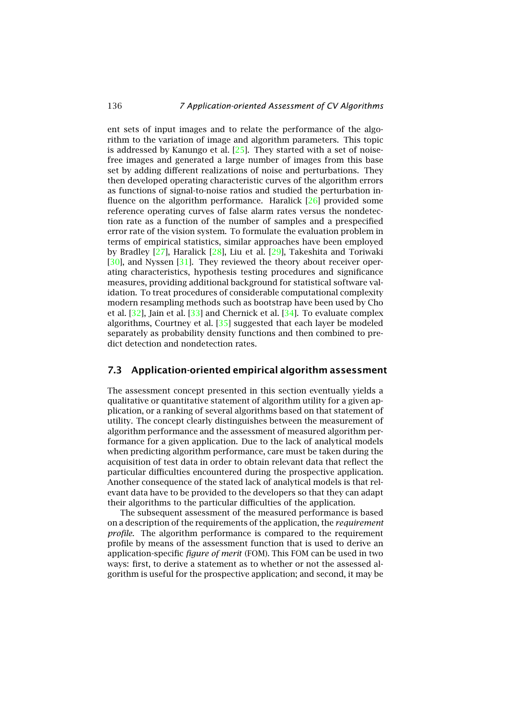ent sets of input images and to relate the performance of the algorithm to the variation of image and algorithm parameters. This topic is addressed by Kanungo et al.  $[25]$ . They started with a set of noisefree images and generated a large number of images from this base set by adding different realizations of noise and perturbations. They then developed operating characteristic curves of the algorithm errors as functions of signal-to-noise ratios and studied the perturbation influence on the algorithm performance. Haralick [26] provided some reference operating curves of false alarm rates versus the nondetection rate as a function of the number of samples and a prespecified error rate of the vision system. To formulate the evaluation problem in terms of empirical statistics, similar approaches have been employed by Bradley [27], Haralick [28], Liu et al. [29], Takeshita and Toriwaki [30], and Nyssen [31]. They reviewed the theory about receiver operating characteristics, hypothesis testing procedures and significance measures, providing additional background for statistical software validation. To treat procedures of considerable computational complexity modern resampling methods such as bootstrap have been used by Cho et al. [32], Jain et al. [33] and Chernick et al. [34]. To evaluate complex algorithms, Courtney et al. [35] suggested that each layer be modeled separately as probability density functions and then combined to predict detection and nondetection rates.

# **7.3 Application-oriented empirical algorithm assessment**

The assessment concept presented in this section eventually yields a qualitative or quantitative statement of algorithm utility for a given application, or a ranking of several algorithms based on that statement of utility. The concept clearly distinguishes between the measurement of algorithm performance and the assessment of measured algorithm performance for a given application. Due to the lack of analytical models when predicting algorithm performance, care must be taken during the acquisition of test data in order to obtain relevant data that reflect the particular difficulties encountered during the prospective application. Another consequence of the stated lack of analytical models is that relevant data have to be provided to the developers so that they can adapt their algorithms to the particular difficulties of the application.

The subsequent assessment of the measured performance is based on a description of the requirements of the application, the *requirement profile*. The algorithm performance is compared to the requirement profile by means of the assessment function that is used to derive an application-specific *figure of merit* (FOM). This FOM can be used in two ways: first, to derive a statement as to whether or not the assessed algorithm is useful for the prospective application; and second, it may be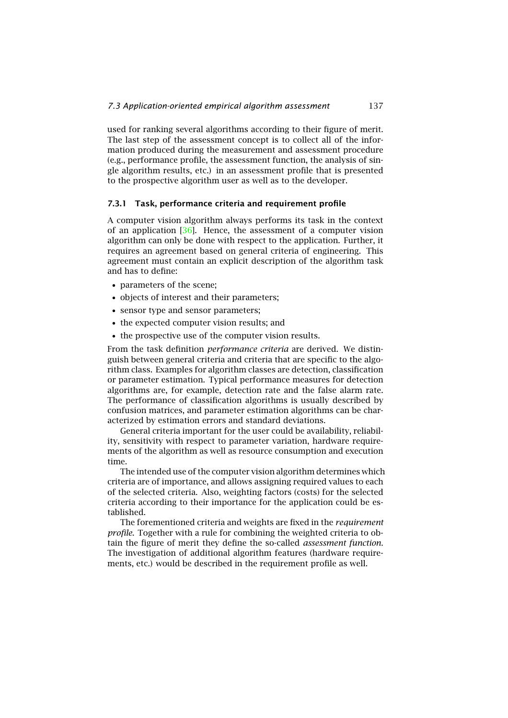used for ranking several algorithms according to their figure of merit. The last step of the assessment concept is to collect all of the information produced during the measurement and assessment procedure (e.g., performance profile, the assessment function, the analysis of single algorithm results, etc.) in an assessment profile that is presented to the prospective algorithm user as well as to the developer.

## **7.3.1 Task, performance criteria and requirement profile**

A computer vision algorithm always performs its task in the context of an application [36]. Hence, the assessment of a computer vision algorithm can only be done with respect to the application. Further, it requires an agreement based on general criteria of engineering. This agreement must contain an explicit description of the algorithm task and has to define:

- parameters of the scene;
- objects of interest and their parameters;
- sensor type and sensor parameters;
- the expected computer vision results; and
- the prospective use of the computer vision results.

From the task definition *performance criteria* are derived. We distinguish between general criteria and criteria that are specific to the algorithm class. Examples for algorithm classes are detection, classification or parameter estimation. Typical performance measures for detection algorithms are, for example, detection rate and the false alarm rate. The performance of classification algorithms is usually described by confusion matrices, and parameter estimation algorithms can be characterized by estimation errors and standard deviations.

General criteria important for the user could be availability, reliability, sensitivity with respect to parameter variation, hardware requirements of the algorithm as well as resource consumption and execution time.

The intended use of the computer vision algorithm determines which criteria are of importance, and allows assigning required values to each of the selected criteria. Also, weighting factors (costs) for the selected criteria according to their importance for the application could be established.

The forementioned criteria and weights are fixed in the *requirement profile*. Together with a rule for combining the weighted criteria to obtain the figure of merit they define the so-called *assessment function*. The investigation of additional algorithm features (hardware requirements, etc.) would be described in the requirement profile as well.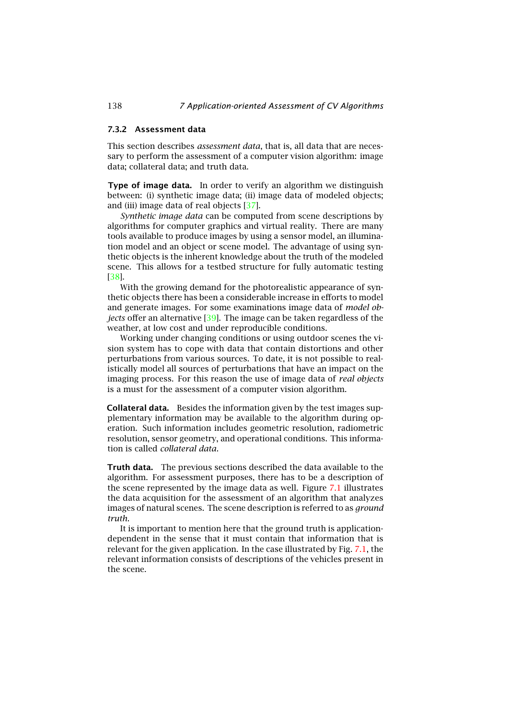#### **7.3.2 Assessment data**

This section describes *assessment data*, that is, all data that are necessary to perform the assessment of a computer vision algorithm: image data; collateral data; and truth data.

**Type of image data.** In order to verify an algorithm we distinguish between: (i) synthetic image data; (ii) image data of modeled objects; and (iii) image data of real objects [37].

*Synthetic image data* can be computed from scene descriptions by algorithms for computer graphics and virtual reality. There are many tools available to produce images by using a sensor model, an illumination model and an object or scene model. The advantage of using synthetic objects is the inherent knowledge about the truth of the modeled scene. This allows for a testbed structure for fully automatic testing [38].

With the growing demand for the photorealistic appearance of synthetic objects there has been a considerable increase in efforts to model and generate images. For some examinations image data of *model objects* offer an alternative [39]. The image can be taken regardless of the weather, at low cost and under reproducible conditions.

Working under changing conditions or using outdoor scenes the vision system has to cope with data that contain distortions and other perturbations from various sources. To date, it is not possible to realistically model all sources of perturbations that have an impact on the imaging process. For this reason the use of image data of *real objects* is a must for the assessment of a computer vision algorithm.

**Collateral data.** Besides the information given by the test images supplementary information may be available to the algorithm during operation. Such information includes geometric resolution, radiometric resolution, sensor geometry, and operational conditions. This information is called *collateral data*.

**Truth data.** The previous sections described the data available to the algorithm. For assessment purposes, there has to be a description of the scene represented by the image data as well. Figure 7.1 illustrates the data acquisition for the assessment of an algorithm that analyzes images of natural scenes. The scene description is referred to as *ground truth*.

It is important to mention here that the ground truth is applicationdependent in the sense that it must contain that information that is relevant for the given application. In the case illustrated by Fig. 7.1, the relevant information consists of descriptions of the vehicles present in the scene.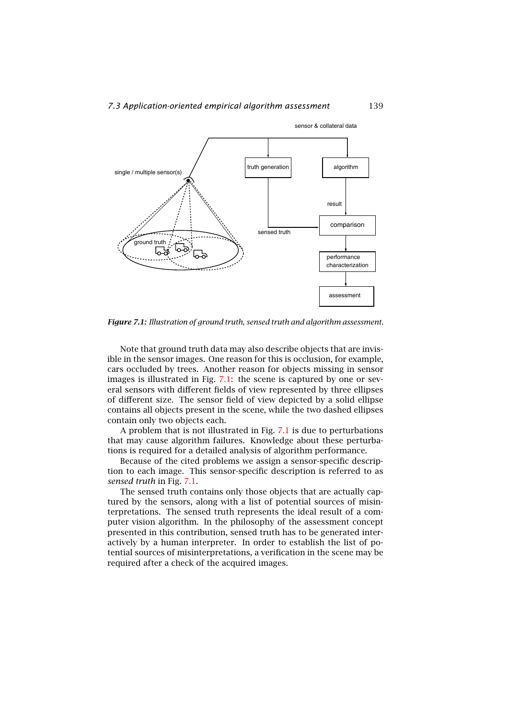

*Figure 7.1: Illustration of ground truth, sensed truth and algorithm assessment.*

Note that ground truth data may also describe objects that are invisible in the sensor images. One reason for this is occlusion, for example, cars occluded by trees. Another reason for objects missing in sensor images is illustrated in Fig. 7.1: the scene is captured by one or several sensors with different fields of view represented by three ellipses of different size. The sensor field of view depicted by a solid ellipse contains all objects present in the scene, while the two dashed ellipses contain only two objects each.

A problem that is not illustrated in Fig. 7.1 is due to perturbations that may cause algorithm failures. Knowledge about these perturbations is required for a detailed analysis of algorithm performance.

Because of the cited problems we assign a sensor-specific description to each image. This sensor-specific description is referred to as *sensed truth* in Fig. 7.1.

The sensed truth contains only those objects that are actually captured by the sensors, along with a list of potential sources of misinterpretations. The sensed truth represents the ideal result of a computer vision algorithm. In the philosophy of the assessment concept presented in this contribution, sensed truth has to be generated interactively by a human interpreter. In order to establish the list of potential sources of misinterpretations, a verification in the scene may be required after a check of the acquired images.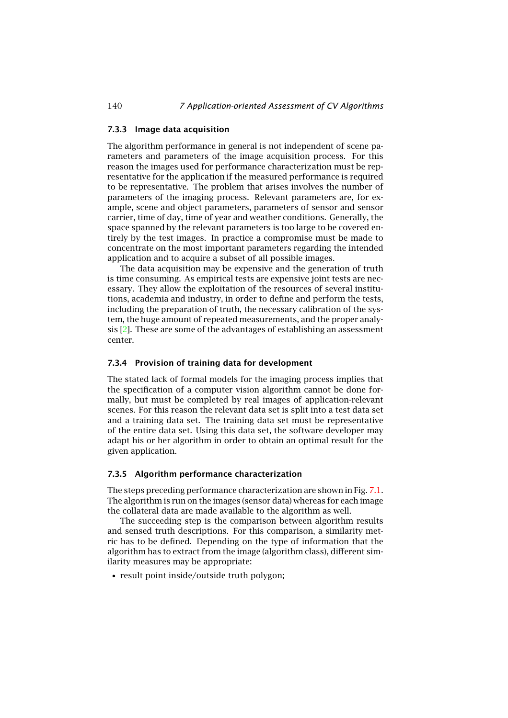#### **7.3.3 Image data acquisition**

The algorithm performance in general is not independent of scene parameters and parameters of the image acquisition process. For this reason the images used for performance characterization must be representative for the application if the measured performance is required to be representative. The problem that arises involves the number of parameters of the imaging process. Relevant parameters are, for example, scene and object parameters, parameters of sensor and sensor carrier, time of day, time of year and weather conditions. Generally, the space spanned by the relevant parameters is too large to be covered entirely by the test images. In practice a compromise must be made to concentrate on the most important parameters regarding the intended application and to acquire a subset of all possible images.

The data acquisition may be expensive and the generation of truth is time consuming. As empirical tests are expensive joint tests are necessary. They allow the exploitation of the resources of several institutions, academia and industry, in order to define and perform the tests, including the preparation of truth, the necessary calibration of the system, the huge amount of repeated measurements, and the proper analysis [2]. These are some of the advantages of establishing an assessment center.

#### **7.3.4 Provision of training data for development**

The stated lack of formal models for the imaging process implies that the specification of a computer vision algorithm cannot be done formally, but must be completed by real images of application-relevant scenes. For this reason the relevant data set is split into a test data set and a training data set. The training data set must be representative of the entire data set. Using this data set, the software developer may adapt his or her algorithm in order to obtain an optimal result for the given application.

## **7.3.5 Algorithm performance characterization**

The steps preceding performance characterization are shown in Fig. 7.1. The algorithm is run on the images (sensor data) whereas for each image the collateral data are made available to the algorithm as well.

The succeeding step is the comparison between algorithm results and sensed truth descriptions. For this comparison, a similarity metric has to be defined. Depending on the type of information that the algorithm has to extract from the image (algorithm class), different similarity measures may be appropriate:

• result point inside/outside truth polygon;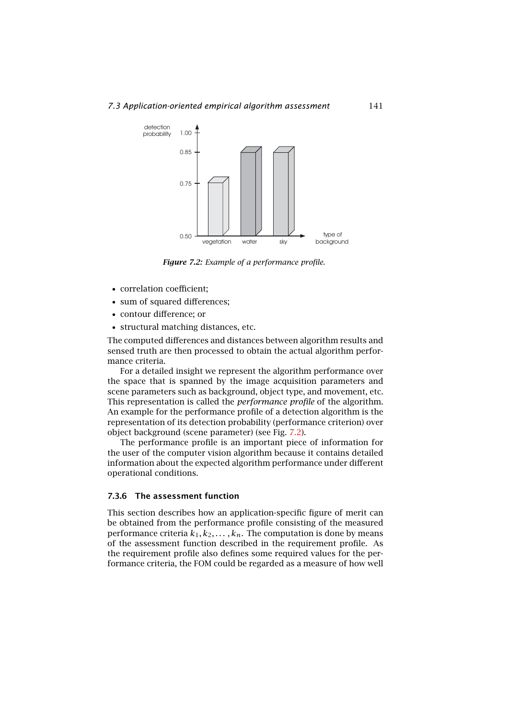

*Figure 7.2: Example of a performance profile.*

- correlation coefficient;
- sum of squared differences:
- contour difference; or
- structural matching distances, etc.

The computed differences and distances between algorithm results and sensed truth are then processed to obtain the actual algorithm performance criteria.

For a detailed insight we represent the algorithm performance over the space that is spanned by the image acquisition parameters and scene parameters such as background, object type, and movement, etc. This representation is called the *performance profile* of the algorithm. An example for the performance profile of a detection algorithm is the representation of its detection probability (performance criterion) over object background (scene parameter) (see Fig. 7.2).

The performance profile is an important piece of information for the user of the computer vision algorithm because it contains detailed information about the expected algorithm performance under different operational conditions.

#### **7.3.6 The assessment function**

This section describes how an application-specific figure of merit can be obtained from the performance profile consisting of the measured performance criteria  $k_1, k_2, \ldots, k_n$ . The computation is done by means of the assessment function described in the requirement profile. As the requirement profile also defines some required values for the performance criteria, the FOM could be regarded as a measure of how well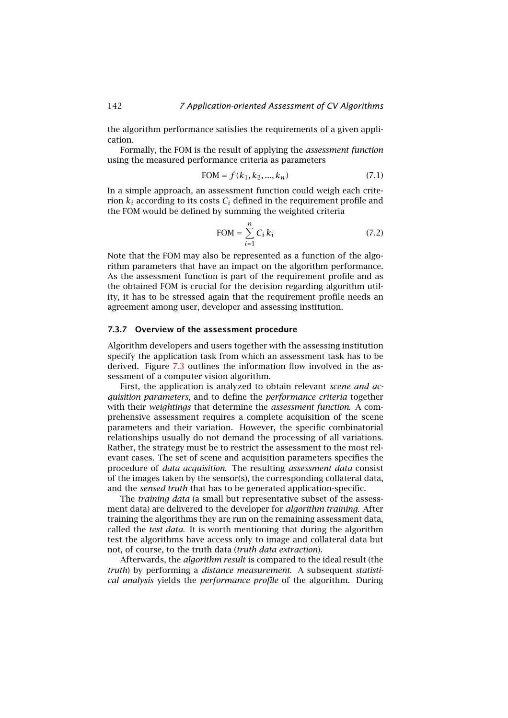the algorithm performance satisfies the requirements of a given application.

Formally, the FOM is the result of applying the *assessment function* using the measured performance criteria as parameters

$$
FOM = f(k_1, k_2, ..., k_n)
$$
 (7.1)

In a simple approach, an assessment function could weigh each criterion  $k_i$  according to its costs  $C_i$  defined in the requirement profile and the FOM would be defined by summing the weighted criteria

$$
FOM = \sum_{i=1}^{n} C_i k_i
$$
 (7.2)

Note that the FOM may also be represented as a function of the algorithm parameters that have an impact on the algorithm performance. As the assessment function is part of the requirement profile and as the obtained FOM is crucial for the decision regarding algorithm utility, it has to be stressed again that the requirement profile needs an agreement among user, developer and assessing institution.

#### **7.3.7 Overview of the assessment procedure**

Algorithm developers and users together with the assessing institution specify the application task from which an assessment task has to be derived. Figure 7.3 outlines the information flow involved in the assessment of a computer vision algorithm.

First, the application is analyzed to obtain relevant *scene and acquisition parameters*, and to define the *performance criteria* together with their *weightings* that determine the *assessment function*. A comprehensive assessment requires a complete acquisition of the scene parameters and their variation. However, the specific combinatorial relationships usually do not demand the processing of all variations. Rather, the strategy must be to restrict the assessment to the most relevant cases. The set of scene and acquisition parameters specifies the procedure of *data acquisition*. The resulting *assessment data* consist of the images taken by the sensor(s), the corresponding collateral data, and the *sensed truth* that has to be generated application-specific.

The *training data* (a small but representative subset of the assessment data) are delivered to the developer for *algorithm training*. After training the algorithms they are run on the remaining assessment data, called the *test data*. It is worth mentioning that during the algorithm test the algorithms have access only to image and collateral data but not, of course, to the truth data (*truth data extraction*).

Afterwards, the *algorithm result* is compared to the ideal result (the *truth*) by performing a *distance measurement*. A subsequent *statistical analysis* yields the *performance profile* of the algorithm. During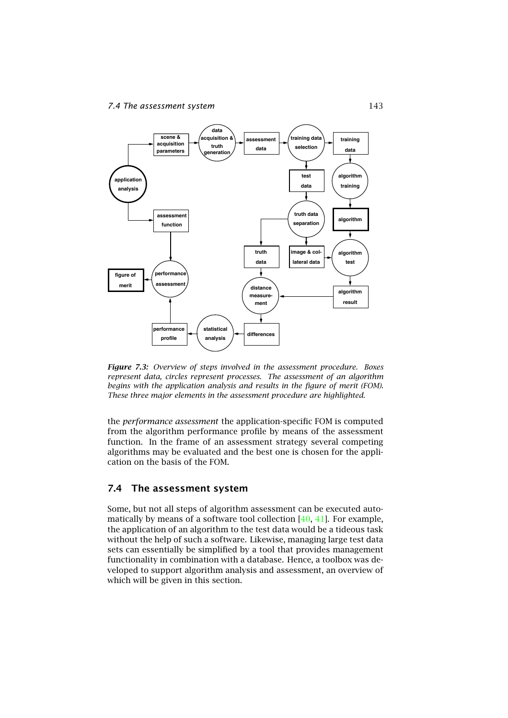

*Figure 7.3: Overview of steps involved in the assessment procedure. Boxes represent data, circles represent processes. The assessment of an algorithm begins with the application analysis and results in the figure of merit (FOM). These three major elements in the assessment procedure are highlighted.*

the *performance assessment* the application-specific FOM is computed from the algorithm performance profile by means of the assessment function. In the frame of an assessment strategy several competing algorithms may be evaluated and the best one is chosen for the application on the basis of the FOM.

## **7.4 The assessment system**

Some, but not all steps of algorithm assessment can be executed automatically by means of a software tool collection [40, 41]. For example, the application of an algorithm to the test data would be a tideous task without the help of such a software. Likewise, managing large test data sets can essentially be simplified by a tool that provides management functionality in combination with a database. Hence, a toolbox was developed to support algorithm analysis and assessment, an overview of which will be given in this section.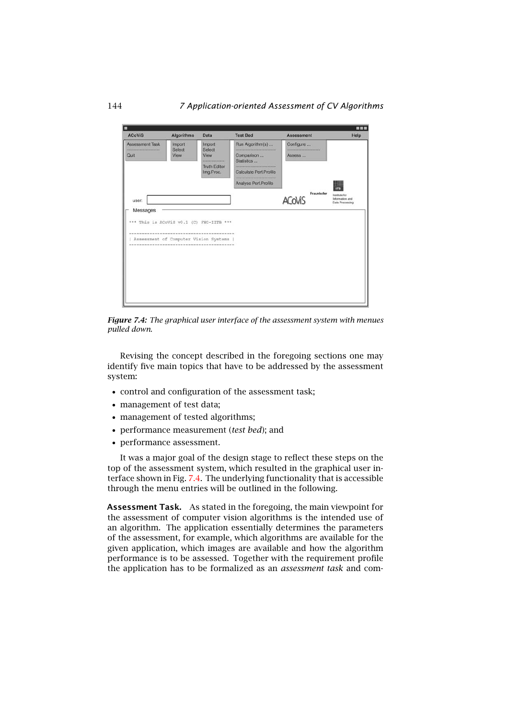

*Figure 7.4: The graphical user interface of the assessment system with menues pulled down.*

Revising the concept described in the foregoing sections one may identify five main topics that have to be addressed by the assessment system:

- control and configuration of the assessment task;
- management of test data;
- management of tested algorithms;
- performance measurement (*test bed*); and
- performance assessment.

It was a major goal of the design stage to reflect these steps on the top of the assessment system, which resulted in the graphical user interface shown in Fig. 7.4. The underlying functionality that is accessible through the menu entries will be outlined in the following.

**Assessment Task.** As stated in the foregoing, the main viewpoint for the assessment of computer vision algorithms is the intended use of an algorithm. The application essentially determines the parameters of the assessment, for example, which algorithms are available for the given application, which images are available and how the algorithm performance is to be assessed. Together with the requirement profile the application has to be formalized as an *assessment task* and com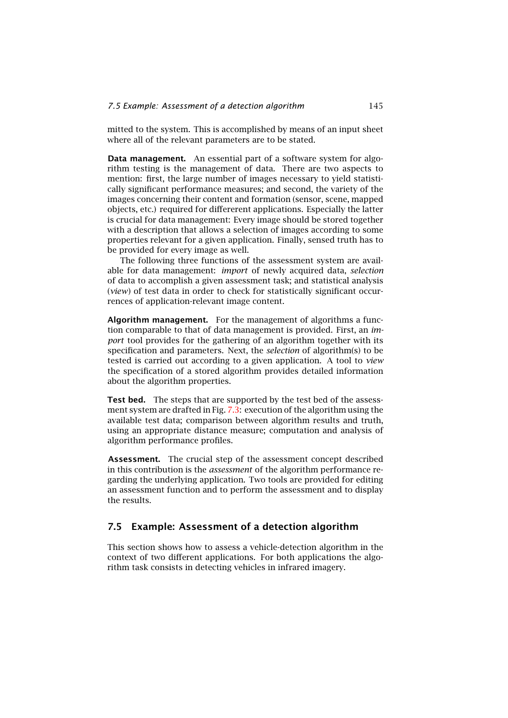mitted to the system. This is accomplished by means of an input sheet where all of the relevant parameters are to be stated.

**Data management.** An essential part of a software system for algorithm testing is the management of data. There are two aspects to mention: first, the large number of images necessary to yield statistically significant performance measures; and second, the variety of the images concerning their content and formation (sensor, scene, mapped objects, etc.) required for differerent applications. Especially the latter is crucial for data management: Every image should be stored together with a description that allows a selection of images according to some properties relevant for a given application. Finally, sensed truth has to be provided for every image as well.

The following three functions of the assessment system are available for data management: *import* of newly acquired data, *selection* of data to accomplish a given assessment task; and statistical analysis (*view*) of test data in order to check for statistically significant occurrences of application-relevant image content.

**Algorithm management.** For the management of algorithms a function comparable to that of data management is provided. First, an *import* tool provides for the gathering of an algorithm together with its specification and parameters. Next, the *selection* of algorithm(s) to be tested is carried out according to a given application. A tool to *view* the specification of a stored algorithm provides detailed information about the algorithm properties.

**Test bed.** The steps that are supported by the test bed of the assessment system are drafted in Fig. 7.3: execution of the algorithm using the available test data; comparison between algorithm results and truth, using an appropriate distance measure; computation and analysis of algorithm performance profiles.

**Assessment.** The crucial step of the assessment concept described in this contribution is the *assessment* of the algorithm performance regarding the underlying application. Two tools are provided for editing an assessment function and to perform the assessment and to display the results.

## **7.5 Example: Assessment of a detection algorithm**

This section shows how to assess a vehicle-detection algorithm in the context of two different applications. For both applications the algorithm task consists in detecting vehicles in infrared imagery.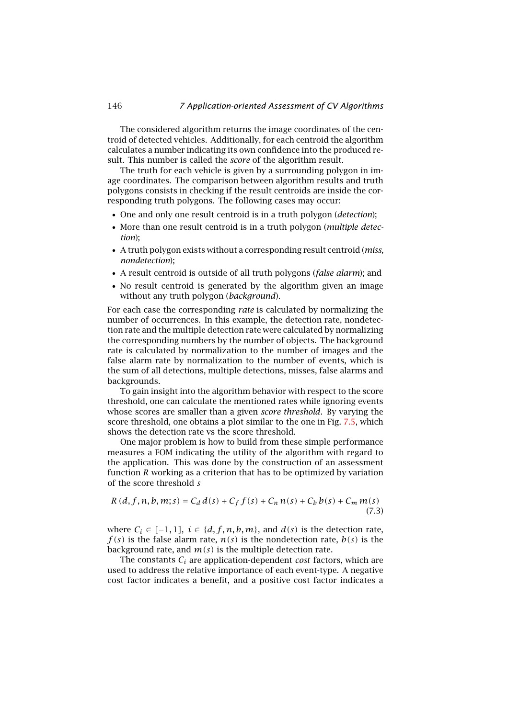The considered algorithm returns the image coordinates of the centroid of detected vehicles. Additionally, for each centroid the algorithm calculates a number indicating its own confidence into the produced result. This number is called the *score* of the algorithm result.

The truth for each vehicle is given by a surrounding polygon in image coordinates. The comparison between algorithm results and truth polygons consists in checking if the result centroids are inside the corresponding truth polygons. The following cases may occur:

- One and only one result centroid is in a truth polygon (*detection*);
- More than one result centroid is in a truth polygon (*multiple detection*);
- A truth polygon exists without a corresponding result centroid (*miss, nondetection*);
- A result centroid is outside of all truth polygons (*false alarm*); and
- No result centroid is generated by the algorithm given an image without any truth polygon (*background*).

For each case the corresponding *rate* is calculated by normalizing the number of occurrences. In this example, the detection rate, nondetection rate and the multiple detection rate were calculated by normalizing the corresponding numbers by the number of objects. The background rate is calculated by normalization to the number of images and the false alarm rate by normalization to the number of events, which is the sum of all detections, multiple detections, misses, false alarms and backgrounds.

To gain insight into the algorithm behavior with respect to the score threshold, one can calculate the mentioned rates while ignoring events whose scores are smaller than a given *score threshold*. By varying the score threshold, one obtains a plot similar to the one in Fig. 7.5, which shows the detection rate vs the score threshold.

One major problem is how to build from these simple performance measures a FOM indicating the utility of the algorithm with regard to the application. This was done by the construction of an assessment function *R* working as a criterion that has to be optimized by variation of the score threshold *s*

$$
R(d, f, n, b, m; s) = C_d d(s) + C_f f(s) + C_n n(s) + C_b b(s) + C_m m(s)
$$
\n(7.3)

where  $C_i$  ∈ [-1, 1],  $i \in \{d, f, n, b, m\}$ , and  $d(s)$  is the detection rate,  $f(s)$  is the false alarm rate,  $n(s)$  is the nondetection rate,  $b(s)$  is the background rate, and  $m(s)$  is the multiple detection rate.

The constants *Ci* are application-dependent *cost* factors, which are used to address the relative importance of each event-type. A negative cost factor indicates a benefit, and a positive cost factor indicates a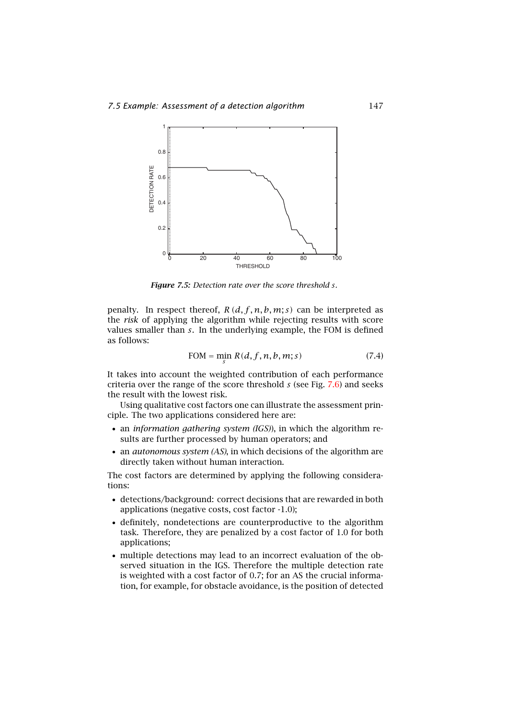

*Figure 7.5: Detection rate over the score threshold <sup>s</sup>.*

penalty. In respect thereof,  $R(d, f, n, b, m; s)$  can be interpreted as the *risk* of applying the algorithm while rejecting results with score values smaller than *s*. In the underlying example, the FOM is defined as follows:

$$
FOM = \min_{s} R(d, f, n, b, m; s)
$$
\n(7.4)

It takes into account the weighted contribution of each performance criteria over the range of the score threshold *s* (see Fig. 7.6) and seeks the result with the lowest risk.

Using qualitative cost factors one can illustrate the assessment principle. The two applications considered here are:

- an *information gathering system (IGS)*), in which the algorithm results are further processed by human operators; and
- an *autonomous system (AS)*, in which decisions of the algorithm are directly taken without human interaction.

The cost factors are determined by applying the following considerations:

- detections/background: correct decisions that are rewarded in both applications (negative costs, cost factor -1.0);
- definitely, nondetections are counterproductive to the algorithm task. Therefore, they are penalized by a cost factor of 1.0 for both applications;
- multiple detections may lead to an incorrect evaluation of the observed situation in the IGS. Therefore the multiple detection rate is weighted with a cost factor of 0.7; for an AS the crucial information, for example, for obstacle avoidance, is the position of detected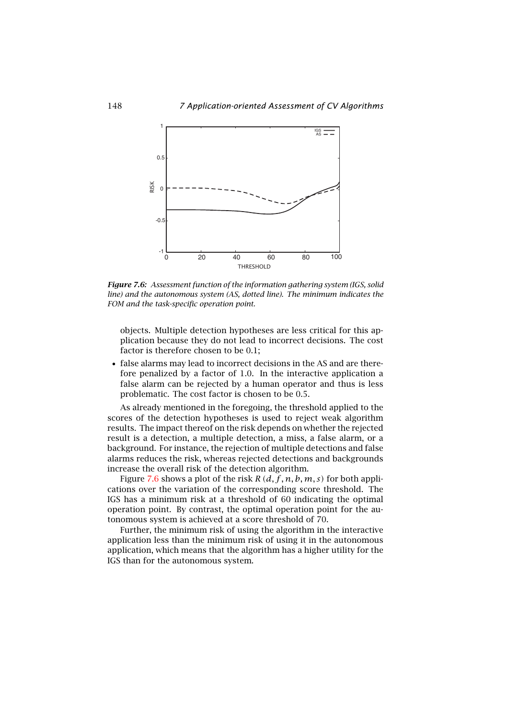

*Figure 7.6: Assessment function of the information gathering system (IGS, solid line) and the autonomous system (AS, dotted line). The minimum indicates the FOM and the task-specific operation point.*

objects. Multiple detection hypotheses are less critical for this application because they do not lead to incorrect decisions. The cost factor is therefore chosen to be 0.1;

• false alarms may lead to incorrect decisions in the AS and are therefore penalized by a factor of 1.0. In the interactive application a false alarm can be rejected by a human operator and thus is less problematic. The cost factor is chosen to be 0.5.

As already mentioned in the foregoing, the threshold applied to the scores of the detection hypotheses is used to reject weak algorithm results. The impact thereof on the risk depends on whether the rejected result is a detection, a multiple detection, a miss, a false alarm, or a background. For instance, the rejection of multiple detections and false alarms reduces the risk, whereas rejected detections and backgrounds increase the overall risk of the detection algorithm.

Figure 7.6 shows a plot of the risk  $R(d, f, n, b, m, s)$  for both applications over the variation of the corresponding score threshold. The IGS has a minimum risk at a threshold of 60 indicating the optimal operation point. By contrast, the optimal operation point for the autonomous system is achieved at a score threshold of 70.

Further, the minimum risk of using the algorithm in the interactive application less than the minimum risk of using it in the autonomous application, which means that the algorithm has a higher utility for the IGS than for the autonomous system.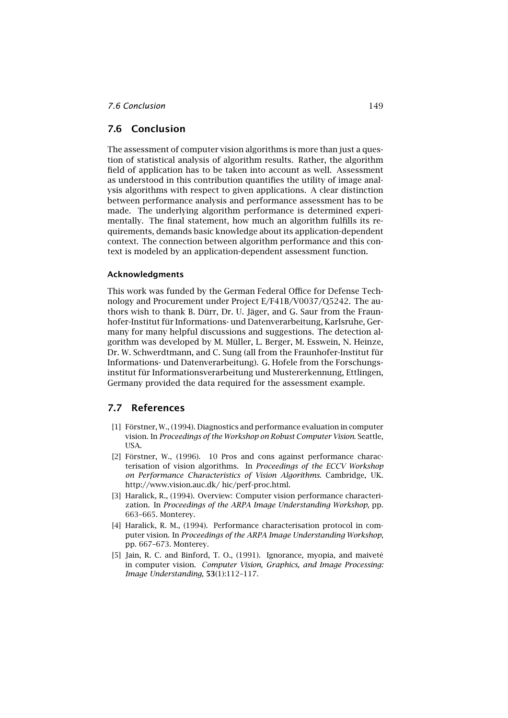## **7.6 Conclusion**

The assessment of computer vision algorithms is more than just a question of statistical analysis of algorithm results. Rather, the algorithm field of application has to be taken into account as well. Assessment as understood in this contribution quantifies the utility of image analysis algorithms with respect to given applications. A clear distinction between performance analysis and performance assessment has to be made. The underlying algorithm performance is determined experimentally. The final statement, how much an algorithm fulfills its requirements, demands basic knowledge about its application-dependent context. The connection between algorithm performance and this context is modeled by an application-dependent assessment function.

#### **Acknowledgments**

This work was funded by the German Federal Office for Defense Technology and Procurement under Project E/F41B/V0037/Q5242. The authors wish to thank B. Dürr, Dr. U. Jäger, and G. Saur from the Fraunhofer-Institut für Informations- und Datenverarbeitung, Karlsruhe, Germany for many helpful discussions and suggestions. The detection algorithm was developed by M. Müller, L. Berger, M. Esswein, N. Heinze, Dr. W. Schwerdtmann, and C. Sung (all from the Fraunhofer-Institut für Informations- und Datenverarbeitung). G. Hofele from the Forschungsinstitut für Informationsverarbeitung und Mustererkennung, Ettlingen, Germany provided the data required for the assessment example.

# **7.7 References**

- [1] Förstner, W., (1994). Diagnostics and performance evaluation in computer vision. In *Proceedings of the Workshop on Robust Computer Vision*. Seattle, USA.
- [2] Förstner, W., (1996). 10 Pros and cons against performance characterisation of vision algorithms. In *Proceedings of the ECCV Workshop on Performance Characteristics of Vision Algorithms*. Cambridge, UK. http://www.vision.auc.dk/ hic/perf-proc.html.
- [3] Haralick, R., (1994). Overview: Computer vision performance characterization. In *Proceedings of the ARPA Image Understanding Workshop*, pp. 663–665. Monterey.
- [4] Haralick, R. M., (1994). Performance characterisation protocol in computer vision. In *Proceedings of the ARPA Image Understanding Workshop*, pp. 667–673. Monterey.
- [5] Jain, R. C. and Binford, T. O., (1991). Ignorance, myopia, and maiveté in computer vision. *Computer Vision, Graphics, and Image Processing: Image Understanding*, **53**(1):112–117.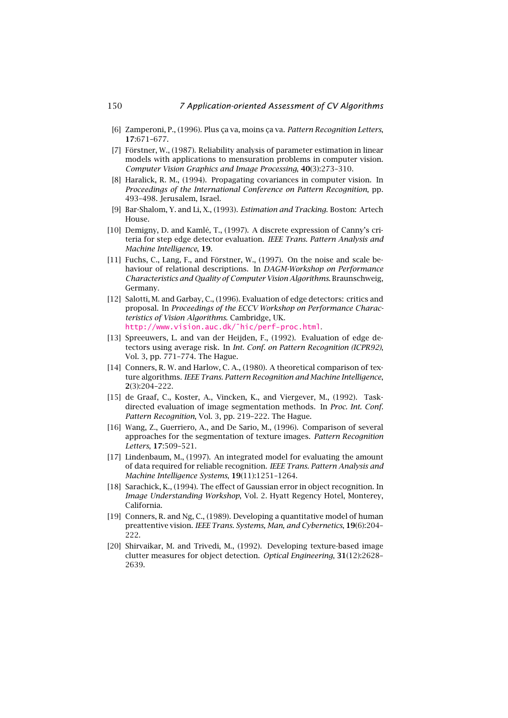- [6] Zamperoni, P., (1996). Plus ça va, moins ça va. *Pattern Recognition Letters*, **17**:671–677.
- [7] Förstner, W., (1987). Reliability analysis of parameter estimation in linear models with applications to mensuration problems in computer vision. *Computer Vision Graphics and Image Processing*, **40**(3):273–310.
- [8] Haralick, R. M., (1994). Propagating covariances in computer vision. In *Proceedings of the International Conference on Pattern Recognition*, pp. 493–498. Jerusalem, Israel.
- [9] Bar-Shalom, Y. and Li, X., (1993). *Estimation and Tracking*. Boston: Artech House.
- [10] Demigny, D. and Kamlé, T., (1997). A discrete expression of Canny's criteria for step edge detector evaluation. *IEEE Trans. Pattern Analysis and Machine Intelligence*, **19**.
- [11] Fuchs, C., Lang, F., and Förstner, W., (1997). On the noise and scale behaviour of relational descriptions. In *DAGM-Workshop on Performance Characteristics and Quality of Computer Vision Algorithms*. Braunschweig, Germany.
- [12] Salotti, M. and Garbay, C., (1996). Evaluation of edge detectors: critics and proposal. In *Proceedings of the ECCV Workshop on Performance Characteristics of Vision Algorithms*. Cambridge, UK. http://www.vision.auc.dk/˜hic/perf-proc.html.
- [13] Spreeuwers, L. and van der Heijden, F., (1992). Evaluation of edge detectors using average risk. In *Int. Conf. on Pattern Recognition (ICPR92)*, Vol. 3, pp. 771–774. The Hague.
- [14] Conners, R. W. and Harlow, C. A., (1980). A theoretical comparison of texture algorithms. *IEEE Trans. Pattern Recognition and Machine Intelligence*, **2**(3):204–222.
- [15] de Graaf, C., Koster, A., Vincken, K., and Viergever, M., (1992). Taskdirected evaluation of image segmentation methods. In *Proc. Int. Conf. Pattern Recognition*, Vol. 3, pp. 219–222. The Hague.
- [16] Wang, Z., Guerriero, A., and De Sario, M., (1996). Comparison of several approaches for the segmentation of texture images. *Pattern Recognition Letters*, **17**:509–521.
- [17] Lindenbaum, M., (1997). An integrated model for evaluating the amount of data required for reliable recognition. *IEEE Trans. Pattern Analysis and Machine Intelligence Systems*, **19**(11):1251–1264.
- [18] Sarachick, K., (1994). The effect of Gaussian error in object recognition. In *Image Understanding Workshop*, Vol. 2. Hyatt Regency Hotel, Monterey, California.
- [19] Conners, R. and Ng, C., (1989). Developing a quantitative model of human preattentive vision. *IEEE Trans. Systems, Man, and Cybernetics*, **19**(6):204– 222.
- [20] Shirvaikar, M. and Trivedi, M., (1992). Developing texture-based image clutter measures for object detection. *Optical Engineering*, **31**(12):2628– 2639.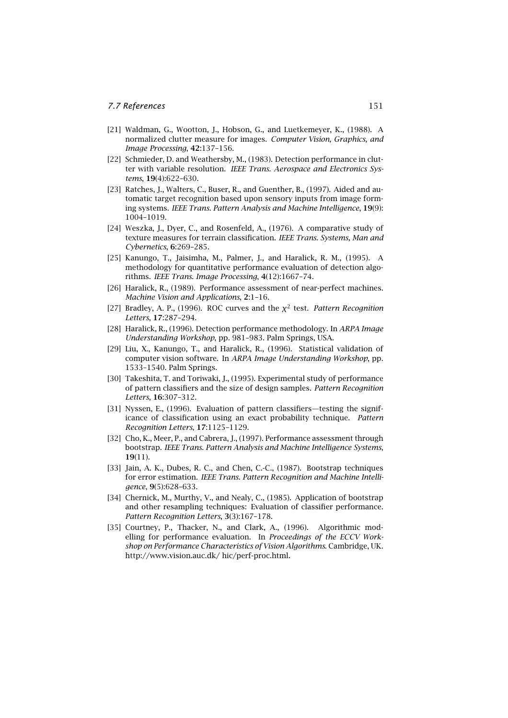#### *7.7 References* 151

- [21] Waldman, G., Wootton, J., Hobson, G., and Luetkemeyer, K., (1988). A normalized clutter measure for images. *Computer Vision, Graphics, and Image Processing*, **42**:137–156.
- [22] Schmieder, D. and Weathersby, M., (1983). Detection performance in clutter with variable resolution. *IEEE Trans. Aerospace and Electronics Systems*, **19**(4):622–630.
- [23] Ratches, J., Walters, C., Buser, R., and Guenther, B., (1997). Aided and automatic target recognition based upon sensory inputs from image forming systems. *IEEE Trans. Pattern Analysis and Machine Intelligence*, **19**(9): 1004–1019.
- [24] Weszka, J., Dyer, C., and Rosenfeld, A., (1976). A comparative study of texture measures for terrain classification. *IEEE Trans. Systems, Man and Cybernetics*, **6**:269–285.
- [25] Kanungo, T., Jaisimha, M., Palmer, J., and Haralick, R. M., (1995). A methodology for quantitative performance evaluation of detection algorithms. *IEEE Trans. Image Processing*, **4**(12):1667–74.
- [26] Haralick, R., (1989). Performance assessment of near-perfect machines. *Machine Vision and Applications*, **2**:1–16.
- [27] Bradley, A. P., (1996). ROC curves and the *χ*<sup>2</sup> test. *Pattern Recognition Letters*, **17**:287–294.
- [28] Haralick, R., (1996). Detection performance methodology. In *ARPA Image Understanding Workshop*, pp. 981–983. Palm Springs, USA.
- [29] Liu, X., Kanungo, T., and Haralick, R., (1996). Statistical validation of computer vision software. In *ARPA Image Understanding Workshop*, pp. 1533–1540. Palm Springs.
- [30] Takeshita, T. and Toriwaki, J., (1995). Experimental study of performance of pattern classifiers and the size of design samples. *Pattern Recognition Letters*, **16**:307–312.
- [31] Nyssen, E., (1996). Evaluation of pattern classifiers—testing the significance of classification using an exact probability technique. *Pattern Recognition Letters*, **17**:1125–1129.
- [32] Cho, K., Meer, P., and Cabrera, J., (1997). Performance assessment through bootstrap. *IEEE Trans. Pattern Analysis and Machine Intelligence Systems*, **19**(11).
- [33] Jain, A. K., Dubes, R. C., and Chen, C.-C., (1987). Bootstrap techniques for error estimation. *IEEE Trans. Pattern Recognition and Machine Intelligence*, **9**(5):628–633.
- [34] Chernick, M., Murthy, V., and Nealy, C., (1985). Application of bootstrap and other resampling techniques: Evaluation of classifier performance. *Pattern Recognition Letters*, **3**(3):167–178.
- [35] Courtney, P., Thacker, N., and Clark, A., (1996). Algorithmic modelling for performance evaluation. In *Proceedings of the ECCV Workshop on Performance Characteristics of Vision Algorithms*. Cambridge, UK. http://www.vision.auc.dk/ hic/perf-proc.html.